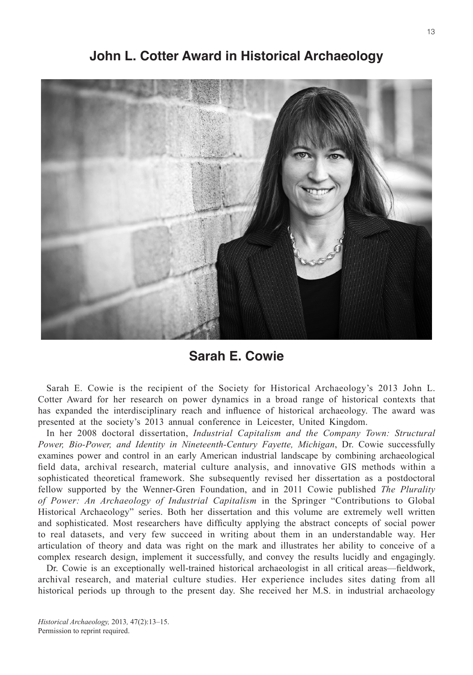

**John L. Cotter Award in Historical Archaeology**

**Sarah E. Cowie**

Sarah E. Cowie is the recipient of the Society for Historical Archaeology's 2013 John L. Cotter Award for her research on power dynamics in a broad range of historical contexts that has expanded the interdisciplinary reach and influence of historical archaeology. The award was presented at the society's 2013 annual conference in Leicester, United Kingdom.

In her 2008 doctoral dissertation, *Industrial Capitalism and the Company Town: Structural Power, Bio-Power, and Identity in Nineteenth-Century Fayette, Michigan*, Dr. Cowie successfully examines power and control in an early American industrial landscape by combining archaeological field data, archival research, material culture analysis, and innovative GIS methods within a sophisticated theoretical framework. She subsequently revised her dissertation as a postdoctoral fellow supported by the Wenner-Gren Foundation, and in 2011 Cowie published *The Plurality of Power: An Archaeology of Industrial Capitalism* in the Springer "Contributions to Global Historical Archaeology" series. Both her dissertation and this volume are extremely well written and sophisticated. Most researchers have difficulty applying the abstract concepts of social power to real datasets, and very few succeed in writing about them in an understandable way. Her articulation of theory and data was right on the mark and illustrates her ability to conceive of a complex research design, implement it successfully, and convey the results lucidly and engagingly.

Dr. Cowie is an exceptionally well-trained historical archaeologist in all critical areas—fieldwork, archival research, and material culture studies. Her experience includes sites dating from all historical periods up through to the present day. She received her M.S. in industrial archaeology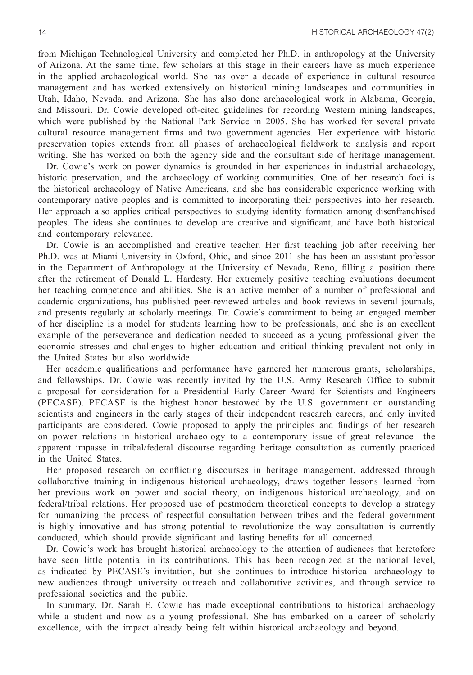from Michigan Technological University and completed her Ph.D. in anthropology at the University of Arizona. At the same time, few scholars at this stage in their careers have as much experience in the applied archaeological world. She has over a decade of experience in cultural resource management and has worked extensively on historical mining landscapes and communities in Utah, Idaho, Nevada, and Arizona. She has also done archaeological work in Alabama, Georgia, and Missouri. Dr. Cowie developed oft-cited guidelines for recording Western mining landscapes, which were published by the National Park Service in 2005. She has worked for several private cultural resource management firms and two government agencies. Her experience with historic preservation topics extends from all phases of archaeological fieldwork to analysis and report writing. She has worked on both the agency side and the consultant side of heritage management.

Dr. Cowie's work on power dynamics is grounded in her experiences in industrial archaeology, historic preservation, and the archaeology of working communities. One of her research foci is the historical archaeology of Native Americans, and she has considerable experience working with contemporary native peoples and is committed to incorporating their perspectives into her research. Her approach also applies critical perspectives to studying identity formation among disenfranchised peoples. The ideas she continues to develop are creative and significant, and have both historical and contemporary relevance.

Dr. Cowie is an accomplished and creative teacher. Her first teaching job after receiving her Ph.D. was at Miami University in Oxford, Ohio, and since 2011 she has been an assistant professor in the Department of Anthropology at the University of Nevada, Reno, filling a position there after the retirement of Donald L. Hardesty. Her extremely positive teaching evaluations document her teaching competence and abilities. She is an active member of a number of professional and academic organizations, has published peer-reviewed articles and book reviews in several journals, and presents regularly at scholarly meetings. Dr. Cowie's commitment to being an engaged member of her discipline is a model for students learning how to be professionals, and she is an excellent example of the perseverance and dedication needed to succeed as a young professional given the economic stresses and challenges to higher education and critical thinking prevalent not only in the United States but also worldwide.

Her academic qualifications and performance have garnered her numerous grants, scholarships, and fellowships. Dr. Cowie was recently invited by the U.S. Army Research Office to submit a proposal for consideration for a Presidential Early Career Award for Scientists and Engineers (PECASE). PECASE is the highest honor bestowed by the U.S. government on outstanding scientists and engineers in the early stages of their independent research careers, and only invited participants are considered. Cowie proposed to apply the principles and findings of her research on power relations in historical archaeology to a contemporary issue of great relevance—the apparent impasse in tribal/federal discourse regarding heritage consultation as currently practiced in the United States.

Her proposed research on conflicting discourses in heritage management, addressed through collaborative training in indigenous historical archaeology, draws together lessons learned from her previous work on power and social theory, on indigenous historical archaeology, and on federal/tribal relations. Her proposed use of postmodern theoretical concepts to develop a strategy for humanizing the process of respectful consultation between tribes and the federal government is highly innovative and has strong potential to revolutionize the way consultation is currently conducted, which should provide significant and lasting benefits for all concerned.

Dr. Cowie's work has brought historical archaeology to the attention of audiences that heretofore have seen little potential in its contributions. This has been recognized at the national level, as indicated by PECASE's invitation, but she continues to introduce historical archaeology to new audiences through university outreach and collaborative activities, and through service to professional societies and the public.

In summary, Dr. Sarah E. Cowie has made exceptional contributions to historical archaeology while a student and now as a young professional. She has embarked on a career of scholarly excellence, with the impact already being felt within historical archaeology and beyond.